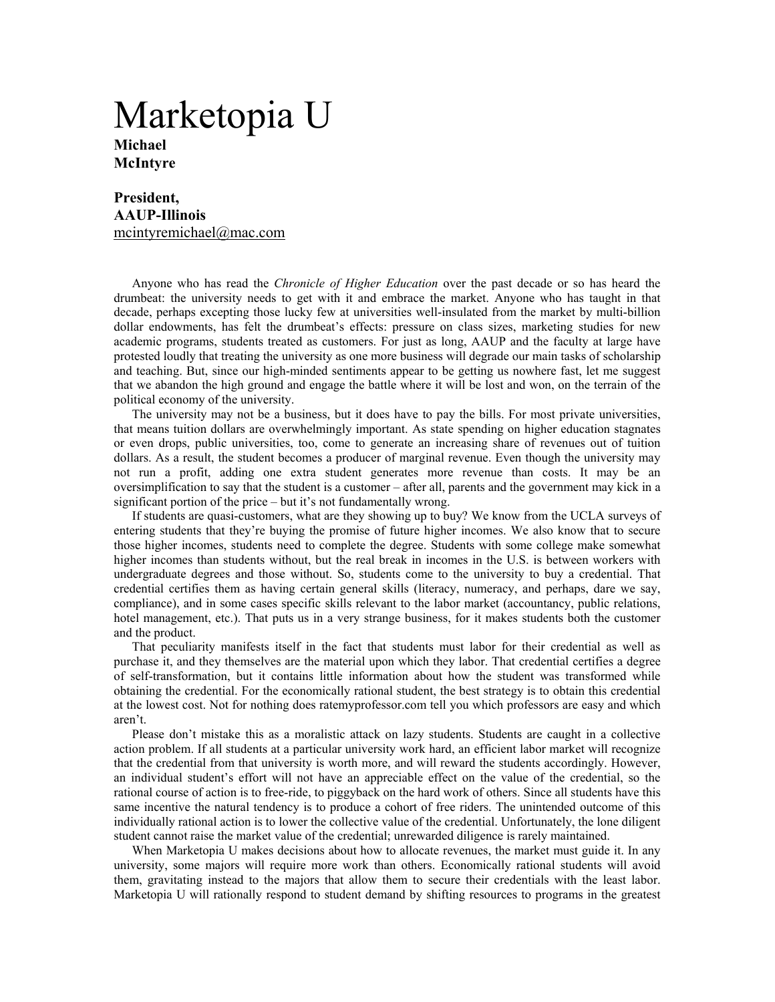## Marketopia U **Michael McIntyre**

## **President, AAUP-Illinois**  mcintyremichael@mac.com

Anyone who has read the *Chronicle of Higher Education* over the past decade or so has heard the drumbeat: the university needs to get with it and embrace the market. Anyone who has taught in that decade, perhaps excepting those lucky few at universities well-insulated from the market by multi-billion dollar endowments, has felt the drumbeat's effects: pressure on class sizes, marketing studies for new academic programs, students treated as customers. For just as long, AAUP and the faculty at large have protested loudly that treating the university as one more business will degrade our main tasks of scholarship and teaching. But, since our high-minded sentiments appear to be getting us nowhere fast, let me suggest that we abandon the high ground and engage the battle where it will be lost and won, on the terrain of the political economy of the university.

The university may not be a business, but it does have to pay the bills. For most private universities, that means tuition dollars are overwhelmingly important. As state spending on higher education stagnates or even drops, public universities, too, come to generate an increasing share of revenues out of tuition dollars. As a result, the student becomes a producer of marginal revenue. Even though the university may not run a profit, adding one extra student generates more revenue than costs. It may be an oversimplification to say that the student is a customer – after all, parents and the government may kick in a significant portion of the price – but it's not fundamentally wrong.

If students are quasi-customers, what are they showing up to buy? We know from the UCLA surveys of entering students that they're buying the promise of future higher incomes. We also know that to secure those higher incomes, students need to complete the degree. Students with some college make somewhat higher incomes than students without, but the real break in incomes in the U.S. is between workers with undergraduate degrees and those without. So, students come to the university to buy a credential. That credential certifies them as having certain general skills (literacy, numeracy, and perhaps, dare we say, compliance), and in some cases specific skills relevant to the labor market (accountancy, public relations, hotel management, etc.). That puts us in a very strange business, for it makes students both the customer and the product.

That peculiarity manifests itself in the fact that students must labor for their credential as well as purchase it, and they themselves are the material upon which they labor. That credential certifies a degree of self-transformation, but it contains little information about how the student was transformed while obtaining the credential. For the economically rational student, the best strategy is to obtain this credential at the lowest cost. Not for nothing does ratemyprofessor.com tell you which professors are easy and which aren't.

Please don't mistake this as a moralistic attack on lazy students. Students are caught in a collective action problem. If all students at a particular university work hard, an efficient labor market will recognize that the credential from that university is worth more, and will reward the students accordingly. However, an individual student's effort will not have an appreciable effect on the value of the credential, so the rational course of action is to free-ride, to piggyback on the hard work of others. Since all students have this same incentive the natural tendency is to produce a cohort of free riders. The unintended outcome of this individually rational action is to lower the collective value of the credential. Unfortunately, the lone diligent student cannot raise the market value of the credential; unrewarded diligence is rarely maintained.

When Marketopia U makes decisions about how to allocate revenues, the market must guide it. In any university, some majors will require more work than others. Economically rational students will avoid them, gravitating instead to the majors that allow them to secure their credentials with the least labor. Marketopia U will rationally respond to student demand by shifting resources to programs in the greatest